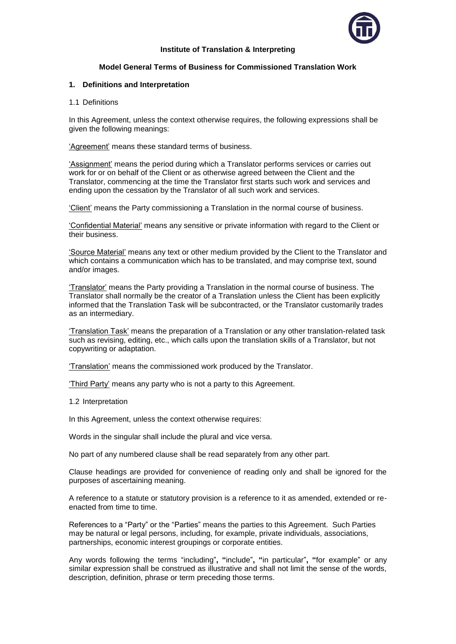

## **Institute of Translation & Interpreting**

# **Model General Terms of Business for Commissioned Translation Work**

## **1. Definitions and Interpretation**

1.1 Definitions

In this Agreement, unless the context otherwise requires, the following expressions shall be given the following meanings:

'Agreement' means these standard terms of business.

'Assignment' means the period during which a Translator performs services or carries out work for or on behalf of the Client or as otherwise agreed between the Client and the Translator, commencing at the time the Translator first starts such work and services and ending upon the cessation by the Translator of all such work and services.

'Client' means the Party commissioning a Translation in the normal course of business.

'Confidential Material' means any sensitive or private information with regard to the Client or their business.

'Source Material' means any text or other medium provided by the Client to the Translator and which contains a communication which has to be translated, and may comprise text, sound and/or images.

'Translator' means the Party providing a Translation in the normal course of business. The Translator shall normally be the creator of a Translation unless the Client has been explicitly informed that the Translation Task will be subcontracted, or the Translator customarily trades as an intermediary.

'Translation Task' means the preparation of a Translation or any other translation-related task such as revising, editing, etc., which calls upon the translation skills of a Translator, but not copywriting or adaptation.

'Translation' means the commissioned work produced by the Translator.

'Third Party' means any party who is not a party to this Agreement.

1.2 Interpretation

In this Agreement, unless the context otherwise requires:

Words in the singular shall include the plural and vice versa.

No part of any numbered clause shall be read separately from any other part.

Clause headings are provided for convenience of reading only and shall be ignored for the purposes of ascertaining meaning.

A reference to a statute or statutory provision is a reference to it as amended, extended or reenacted from time to time.

References to a "Party" or the "Parties" means the parties to this Agreement. Such Parties may be natural or legal persons, including, for example, private individuals, associations, partnerships, economic interest groupings or corporate entities.

Any words following the terms "including"**, "**include"**, "**in particular"**, "**for example" or any similar expression shall be construed as illustrative and shall not limit the sense of the words, description, definition, phrase or term preceding those terms.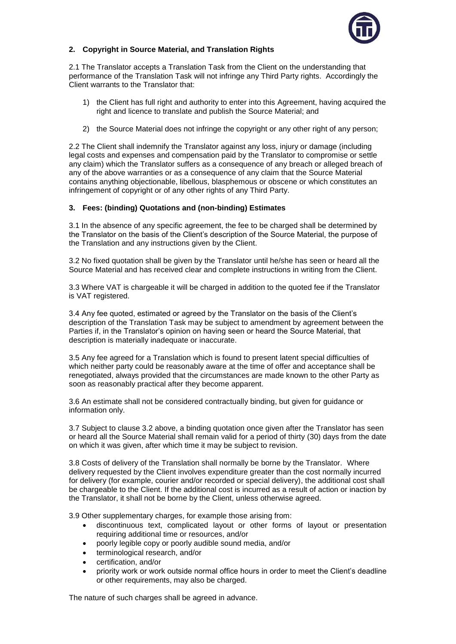

# **2. Copyright in Source Material, and Translation Rights**

2.1 The Translator accepts a Translation Task from the Client on the understanding that performance of the Translation Task will not infringe any Third Party rights. Accordingly the Client warrants to the Translator that:

- 1) the Client has full right and authority to enter into this Agreement, having acquired the right and licence to translate and publish the Source Material; and
- 2) the Source Material does not infringe the copyright or any other right of any person;

2.2 The Client shall indemnify the Translator against any loss, injury or damage (including legal costs and expenses and compensation paid by the Translator to compromise or settle any claim) which the Translator suffers as a consequence of any breach or alleged breach of any of the above warranties or as a consequence of any claim that the Source Material contains anything objectionable, libellous, blasphemous or obscene or which constitutes an infringement of copyright or of any other rights of any Third Party.

## **3. Fees: (binding) Quotations and (non-binding) Estimates**

3.1 In the absence of any specific agreement, the fee to be charged shall be determined by the Translator on the basis of the Client's description of the Source Material, the purpose of the Translation and any instructions given by the Client.

3.2 No fixed quotation shall be given by the Translator until he/she has seen or heard all the Source Material and has received clear and complete instructions in writing from the Client.

3.3 Where VAT is chargeable it will be charged in addition to the quoted fee if the Translator is VAT registered.

3.4 Any fee quoted, estimated or agreed by the Translator on the basis of the Client's description of the Translation Task may be subject to amendment by agreement between the Parties if, in the Translator's opinion on having seen or heard the Source Material, that description is materially inadequate or inaccurate.

3.5 Any fee agreed for a Translation which is found to present latent special difficulties of which neither party could be reasonably aware at the time of offer and acceptance shall be renegotiated, always provided that the circumstances are made known to the other Party as soon as reasonably practical after they become apparent.

3.6 An estimate shall not be considered contractually binding, but given for guidance or information only.

3.7 Subject to clause 3.2 above, a binding quotation once given after the Translator has seen or heard all the Source Material shall remain valid for a period of thirty (30) days from the date on which it was given, after which time it may be subject to revision.

3.8 Costs of delivery of the Translation shall normally be borne by the Translator. Where delivery requested by the Client involves expenditure greater than the cost normally incurred for delivery (for example, courier and/or recorded or special delivery), the additional cost shall be chargeable to the Client. If the additional cost is incurred as a result of action or inaction by the Translator, it shall not be borne by the Client, unless otherwise agreed.

3.9 Other supplementary charges, for example those arising from:

- discontinuous text, complicated layout or other forms of layout or presentation requiring additional time or resources, and/or
- poorly legible copy or poorly audible sound media, and/or
- terminological research, and/or
- certification, and/or
- priority work or work outside normal office hours in order to meet the Client's deadline or other requirements, may also be charged.

The nature of such charges shall be agreed in advance.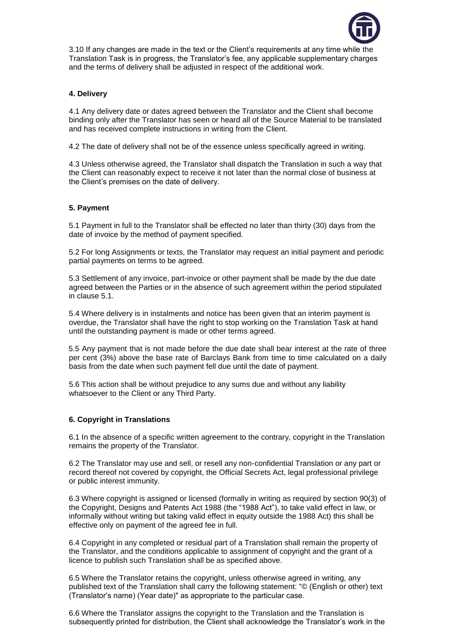

3.10 If any changes are made in the text or the Client's requirements at any time while the Translation Task is in progress, the Translator's fee, any applicable supplementary charges and the terms of delivery shall be adjusted in respect of the additional work.

# **4. Delivery**

4.1 Any delivery date or dates agreed between the Translator and the Client shall become binding only after the Translator has seen or heard all of the Source Material to be translated and has received complete instructions in writing from the Client.

4.2 The date of delivery shall not be of the essence unless specifically agreed in writing.

4.3 Unless otherwise agreed, the Translator shall dispatch the Translation in such a way that the Client can reasonably expect to receive it not later than the normal close of business at the Client's premises on the date of delivery.

# **5. Payment**

5.1 Payment in full to the Translator shall be effected no later than thirty (30) days from the date of invoice by the method of payment specified.

5.2 For long Assignments or texts, the Translator may request an initial payment and periodic partial payments on terms to be agreed.

5.3 Settlement of any invoice, part-invoice or other payment shall be made by the due date agreed between the Parties or in the absence of such agreement within the period stipulated in clause 5.1.

5.4 Where delivery is in instalments and notice has been given that an interim payment is overdue, the Translator shall have the right to stop working on the Translation Task at hand until the outstanding payment is made or other terms agreed.

 5.5 Any payment that is not made before the due date shall bear interest at the rate of three per cent (3%) above the base rate of Barclays Bank from time to time calculated on a daily basis from the date when such payment fell due until the date of payment.

5.6 This action shall be without prejudice to any sums due and without any liability whatsoever to the Client or any Third Party.

### **6. Copyright in Translations**

6.1 In the absence of a specific written agreement to the contrary, copyright in the Translation remains the property of the Translator.

6.2 The Translator may use and sell, or resell any non-confidential Translation or any part or record thereof not covered by copyright, the Official Secrets Act, legal professional privilege or public interest immunity.

6.3 Where copyright is assigned or licensed (formally in writing as required by section 90(3) of the Copyright, Designs and Patents Act 1988 (the "1988 Act"), to take valid effect in law, or informally without writing but taking valid effect in equity outside the 1988 Act) this shall be effective only on payment of the agreed fee in full.

6.4 Copyright in any completed or residual part of a Translation shall remain the property of the Translator, and the conditions applicable to assignment of copyright and the grant of a licence to publish such Translation shall be as specified above.

6.5 Where the Translator retains the copyright, unless otherwise agreed in writing, any published text of the Translation shall carry the following statement: "© (English or other) text (Translator's name) (Year date)" as appropriate to the particular case.

6.6 Where the Translator assigns the copyright to the Translation and the Translation is subsequently printed for distribution, the Client shall acknowledge the Translator's work in the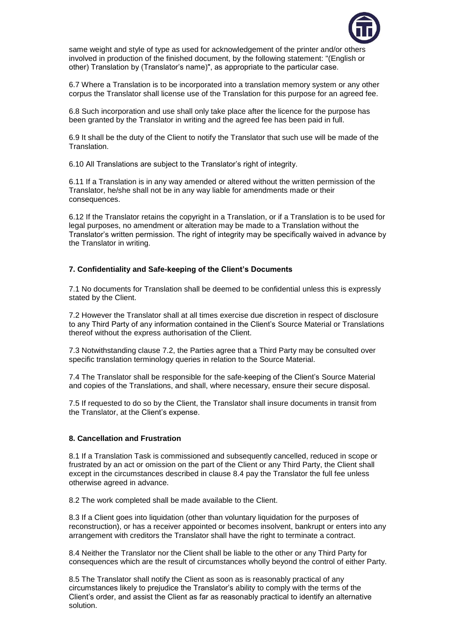

same weight and style of type as used for acknowledgement of the printer and/or others involved in production of the finished document, by the following statement: "(English or other) Translation by (Translator's name)", as appropriate to the particular case.

6.7 Where a Translation is to be incorporated into a translation memory system or any other corpus the Translator shall license use of the Translation for this purpose for an agreed fee.

6.8 Such incorporation and use shall only take place after the licence for the purpose has been granted by the Translator in writing and the agreed fee has been paid in full.

6.9 It shall be the duty of the Client to notify the Translator that such use will be made of the Translation.

6.10 All Translations are subject to the Translator's right of integrity.

6.11 If a Translation is in any way amended or altered without the written permission of the Translator, he/she shall not be in any way liable for amendments made or their consequences.

6.12 If the Translator retains the copyright in a Translation, or if a Translation is to be used for legal purposes, no amendment or alteration may be made to a Translation without the Translator's written permission. The right of integrity may be specifically waived in advance by the Translator in writing.

## **7. Confidentiality and Safe-keeping of the Client's Documents**

7.1 No documents for Translation shall be deemed to be confidential unless this is expressly stated by the Client.

7.2 However the Translator shall at all times exercise due discretion in respect of disclosure to any Third Party of any information contained in the Client's Source Material or Translations thereof without the express authorisation of the Client.

7.3 Notwithstanding clause 7.2, the Parties agree that a Third Party may be consulted over specific translation terminology queries in relation to the Source Material.

7.4 The Translator shall be responsible for the safe-keeping of the Client's Source Material and copies of the Translations, and shall, where necessary, ensure their secure disposal.

7.5 If requested to do so by the Client, the Translator shall insure documents in transit from the Translator, at the Client's expense.

### **8. Cancellation and Frustration**

8.1 If a Translation Task is commissioned and subsequently cancelled, reduced in scope or frustrated by an act or omission on the part of the Client or any Third Party, the Client shall except in the circumstances described in clause 8.4 pay the Translator the full fee unless otherwise agreed in advance.

8.2 The work completed shall be made available to the Client.

8.3 If a Client goes into liquidation (other than voluntary liquidation for the purposes of reconstruction), or has a receiver appointed or becomes insolvent, bankrupt or enters into any arrangement with creditors the Translator shall have the right to terminate a contract.

8.4 Neither the Translator nor the Client shall be liable to the other or any Third Party for consequences which are the result of circumstances wholly beyond the control of either Party.

8.5 The Translator shall notify the Client as soon as is reasonably practical of any circumstances likely to prejudice the Translator's ability to comply with the terms of the Client's order, and assist the Client as far as reasonably practical to identify an alternative solution.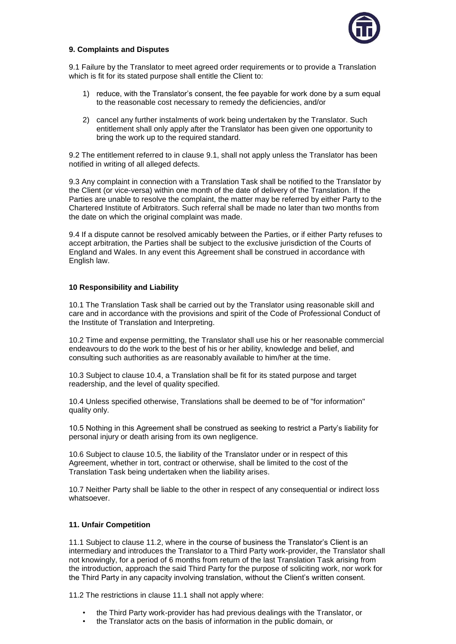

# **9. Complaints and Disputes**

9.1 Failure by the Translator to meet agreed order requirements or to provide a Translation which is fit for its stated purpose shall entitle the Client to:

- 1) reduce, with the Translator's consent, the fee payable for work done by a sum equal to the reasonable cost necessary to remedy the deficiencies, and/or
- 2) cancel any further instalments of work being undertaken by the Translator. Such entitlement shall only apply after the Translator has been given one opportunity to bring the work up to the required standard.

9.2 The entitlement referred to in clause 9.1, shall not apply unless the Translator has been notified in writing of all alleged defects.

9.3 Any complaint in connection with a Translation Task shall be notified to the Translator by the Client (or vice-versa) within one month of the date of delivery of the Translation. If the Parties are unable to resolve the complaint, the matter may be referred by either Party to the Chartered Institute of Arbitrators. Such referral shall be made no later than two months from the date on which the original complaint was made.

9.4 If a dispute cannot be resolved amicably between the Parties, or if either Party refuses to accept arbitration, the Parties shall be subject to the exclusive jurisdiction of the Courts of England and Wales. In any event this Agreement shall be construed in accordance with English law.

## **10 Responsibility and Liability**

10.1 The Translation Task shall be carried out by the Translator using reasonable skill and care and in accordance with the provisions and spirit of the Code of Professional Conduct of the Institute of Translation and Interpreting.

10.2 Time and expense permitting, the Translator shall use his or her reasonable commercial endeavours to do the work to the best of his or her ability, knowledge and belief, and consulting such authorities as are reasonably available to him/her at the time.

10.3 Subject to clause 10.4, a Translation shall be fit for its stated purpose and target readership, and the level of quality specified.

10.4 Unless specified otherwise, Translations shall be deemed to be of "for information" quality only.

10.5 Nothing in this Agreement shall be construed as seeking to restrict a Party's liability for personal injury or death arising from its own negligence.

10.6 Subject to clause 10.5, the liability of the Translator under or in respect of this Agreement, whether in tort, contract or otherwise, shall be limited to the cost of the Translation Task being undertaken when the liability arises.

10.7 Neither Party shall be liable to the other in respect of any consequential or indirect loss whatsoever.

## **11. Unfair Competition**

11.1 Subject to clause 11.2, where in the course of business the Translator's Client is an intermediary and introduces the Translator to a Third Party work-provider, the Translator shall not knowingly, for a period of 6 months from return of the last Translation Task arising from the introduction, approach the said Third Party for the purpose of soliciting work, nor work for the Third Party in any capacity involving translation, without the Client's written consent.

11.2 The restrictions in clause 11.1 shall not apply where:

- the Third Party work-provider has had previous dealings with the Translator, or
- the Translator acts on the basis of information in the public domain, or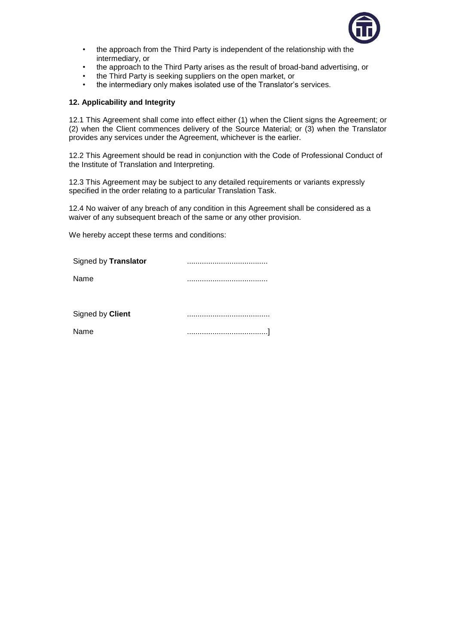

- the approach from the Third Party is independent of the relationship with the intermediary, or
- the approach to the Third Party arises as the result of broad-band advertising, or
- the Third Party is seeking suppliers on the open market, or
- the intermediary only makes isolated use of the Translator's services.

## **12. Applicability and Integrity**

12.1 This Agreement shall come into effect either (1) when the Client signs the Agreement; or (2) when the Client commences delivery of the Source Material; or (3) when the Translator provides any services under the Agreement, whichever is the earlier.

12.2 This Agreement should be read in conjunction with the Code of Professional Conduct of the Institute of Translation and Interpreting.

12.3 This Agreement may be subject to any detailed requirements or variants expressly specified in the order relating to a particular Translation Task.

12.4 No waiver of any breach of any condition in this Agreement shall be considered as a waiver of any subsequent breach of the same or any other provision.

We hereby accept these terms and conditions:

| Signed by Translator |  |
|----------------------|--|
| Name                 |  |
|                      |  |
| Signed by Client     |  |
| Name                 |  |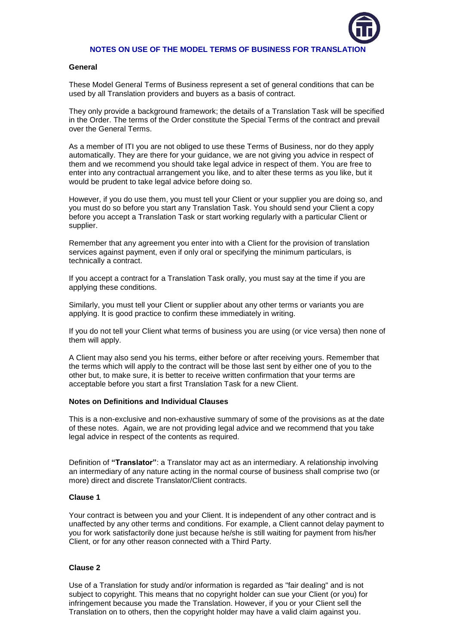

## **NOTES ON USE OF THE MODEL TERMS OF BUSINESS FOR TRANSLATION**

#### **General**

These Model General Terms of Business represent a set of general conditions that can be used by all Translation providers and buyers as a basis of contract.

They only provide a background framework; the details of a Translation Task will be specified in the Order. The terms of the Order constitute the Special Terms of the contract and prevail over the General Terms.

As a member of ITI you are not obliged to use these Terms of Business, nor do they apply automatically. They are there for your guidance, we are not giving you advice in respect of them and we recommend you should take legal advice in respect of them. You are free to enter into any contractual arrangement you like, and to alter these terms as you like, but it would be prudent to take legal advice before doing so.

However, if you do use them, you must tell your Client or your supplier you are doing so, and you must do so before you start any Translation Task. You should send your Client a copy before you accept a Translation Task or start working regularly with a particular Client or supplier.

Remember that any agreement you enter into with a Client for the provision of translation services against payment, even if only oral or specifying the minimum particulars, is technically a contract.

If you accept a contract for a Translation Task orally, you must say at the time if you are applying these conditions.

Similarly, you must tell your Client or supplier about any other terms or variants you are applying. It is good practice to confirm these immediately in writing.

If you do not tell your Client what terms of business you are using (or vice versa) then none of them will apply.

A Client may also send you his terms, either before or after receiving yours. Remember that the terms which will apply to the contract will be those last sent by either one of you to the other but, to make sure, it is better to receive written confirmation that your terms are acceptable before you start a first Translation Task for a new Client.

#### **Notes on Definitions and Individual Clauses**

This is a non-exclusive and non-exhaustive summary of some of the provisions as at the date of these notes. Again, we are not providing legal advice and we recommend that you take legal advice in respect of the contents as required.

Definition of **"Translator"**: a Translator may act as an intermediary. A relationship involving an intermediary of any nature acting in the normal course of business shall comprise two (or more) direct and discrete Translator/Client contracts.

## **Clause 1**

Your contract is between you and your Client. It is independent of any other contract and is unaffected by any other terms and conditions. For example, a Client cannot delay payment to you for work satisfactorily done just because he/she is still waiting for payment from his/her Client, or for any other reason connected with a Third Party.

## **Clause 2**

Use of a Translation for study and/or information is regarded as "fair dealing" and is not subject to copyright. This means that no copyright holder can sue your Client (or you) for infringement because you made the Translation. However, if you or your Client sell the Translation on to others, then the copyright holder may have a valid claim against you.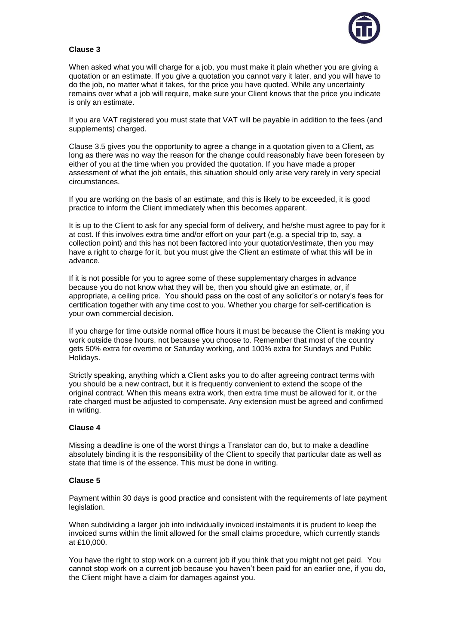

# **Clause 3**

When asked what you will charge for a job, you must make it plain whether you are giving a quotation or an estimate. If you give a quotation you cannot vary it later, and you will have to do the job, no matter what it takes, for the price you have quoted. While any uncertainty remains over what a job will require, make sure your Client knows that the price you indicate is only an estimate.

If you are VAT registered you must state that VAT will be payable in addition to the fees (and supplements) charged.

Clause 3.5 gives you the opportunity to agree a change in a quotation given to a Client, as long as there was no way the reason for the change could reasonably have been foreseen by either of you at the time when you provided the quotation. If you have made a proper assessment of what the job entails, this situation should only arise very rarely in very special circumstances.

If you are working on the basis of an estimate, and this is likely to be exceeded, it is good practice to inform the Client immediately when this becomes apparent.

It is up to the Client to ask for any special form of delivery, and he/she must agree to pay for it at cost. If this involves extra time and/or effort on your part (e.g. a special trip to, say, a collection point) and this has not been factored into your quotation/estimate, then you may have a right to charge for it, but you must give the Client an estimate of what this will be in advance.

If it is not possible for you to agree some of these supplementary charges in advance because you do not know what they will be, then you should give an estimate, or, if appropriate, a ceiling price. You should pass on the cost of any solicitor's or notary's fees for certification together with any time cost to you. Whether you charge for self-certification is your own commercial decision.

If you charge for time outside normal office hours it must be because the Client is making you work outside those hours, not because you choose to. Remember that most of the country gets 50% extra for overtime or Saturday working, and 100% extra for Sundays and Public Holidays.

Strictly speaking, anything which a Client asks you to do after agreeing contract terms with you should be a new contract, but it is frequently convenient to extend the scope of the original contract. When this means extra work, then extra time must be allowed for it, or the rate charged must be adjusted to compensate. Any extension must be agreed and confirmed in writing.

### **Clause 4**

Missing a deadline is one of the worst things a Translator can do, but to make a deadline absolutely binding it is the responsibility of the Client to specify that particular date as well as state that time is of the essence. This must be done in writing.

### **Clause 5**

Payment within 30 days is good practice and consistent with the requirements of late payment legislation.

When subdividing a larger job into individually invoiced instalments it is prudent to keep the invoiced sums within the limit allowed for the small claims procedure, which currently stands at £10,000.

You have the right to stop work on a current job if you think that you might not get paid. You cannot stop work on a current job because you haven't been paid for an earlier one, if you do, the Client might have a claim for damages against you.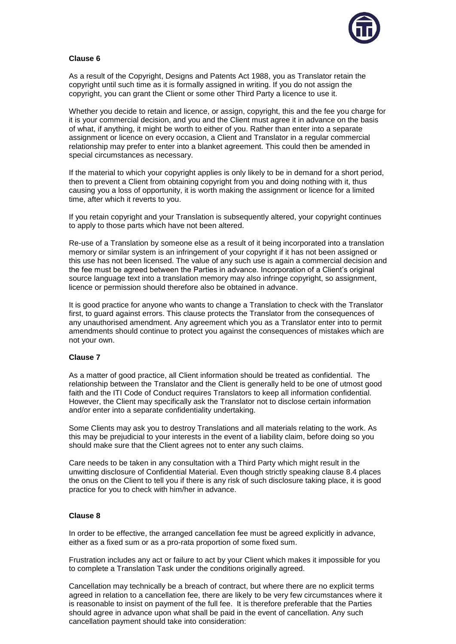

# **Clause 6**

As a result of the Copyright, Designs and Patents Act 1988, you as Translator retain the copyright until such time as it is formally assigned in writing. If you do not assign the copyright, you can grant the Client or some other Third Party a licence to use it.

Whether you decide to retain and licence, or assign, copyright, this and the fee you charge for it is your commercial decision, and you and the Client must agree it in advance on the basis of what, if anything, it might be worth to either of you. Rather than enter into a separate assignment or licence on every occasion, a Client and Translator in a regular commercial relationship may prefer to enter into a blanket agreement. This could then be amended in special circumstances as necessary.

If the material to which your copyright applies is only likely to be in demand for a short period, then to prevent a Client from obtaining copyright from you and doing nothing with it, thus causing you a loss of opportunity, it is worth making the assignment or licence for a limited time, after which it reverts to you.

If you retain copyright and your Translation is subsequently altered, your copyright continues to apply to those parts which have not been altered.

Re-use of a Translation by someone else as a result of it being incorporated into a translation memory or similar system is an infringement of your copyright if it has not been assigned or this use has not been licensed. The value of any such use is again a commercial decision and the fee must be agreed between the Parties in advance. Incorporation of a Client's original source language text into a translation memory may also infringe copyright, so assignment, licence or permission should therefore also be obtained in advance.

It is good practice for anyone who wants to change a Translation to check with the Translator first, to guard against errors. This clause protects the Translator from the consequences of any unauthorised amendment. Any agreement which you as a Translator enter into to permit amendments should continue to protect you against the consequences of mistakes which are not your own.

## **Clause 7**

As a matter of good practice, all Client information should be treated as confidential. The relationship between the Translator and the Client is generally held to be one of utmost good faith and the ITI Code of Conduct requires Translators to keep all information confidential. However, the Client may specifically ask the Translator not to disclose certain information and/or enter into a separate confidentiality undertaking.

Some Clients may ask you to destroy Translations and all materials relating to the work. As this may be prejudicial to your interests in the event of a liability claim, before doing so you should make sure that the Client agrees not to enter any such claims.

Care needs to be taken in any consultation with a Third Party which might result in the unwitting disclosure of Confidential Material. Even though strictly speaking clause 8.4 places the onus on the Client to tell you if there is any risk of such disclosure taking place, it is good practice for you to check with him/her in advance.

## **Clause 8**

In order to be effective, the arranged cancellation fee must be agreed explicitly in advance, either as a fixed sum or as a pro-rata proportion of some fixed sum.

Frustration includes any act or failure to act by your Client which makes it impossible for you to complete a Translation Task under the conditions originally agreed.

Cancellation may technically be a breach of contract, but where there are no explicit terms agreed in relation to a cancellation fee, there are likely to be very few circumstances where it is reasonable to insist on payment of the full fee. It is therefore preferable that the Parties should agree in advance upon what shall be paid in the event of cancellation. Any such cancellation payment should take into consideration: